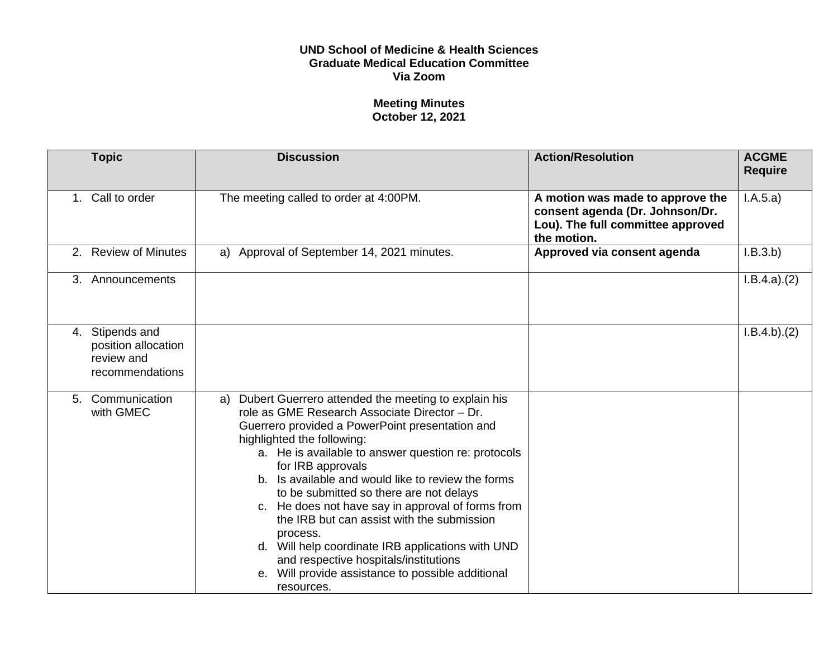## **UND School of Medicine & Health Sciences Graduate Medical Education Committee Via Zoom**

## **Meeting Minutes October 12, 2021**

|    | <b>Topic</b>                                                            | <b>Discussion</b>                                                                                                                                                                                                                                                                                                                                                                                                                                                                                                                                                                                                                                        | <b>Action/Resolution</b>                                                                                                | <b>ACGME</b><br><b>Require</b> |
|----|-------------------------------------------------------------------------|----------------------------------------------------------------------------------------------------------------------------------------------------------------------------------------------------------------------------------------------------------------------------------------------------------------------------------------------------------------------------------------------------------------------------------------------------------------------------------------------------------------------------------------------------------------------------------------------------------------------------------------------------------|-------------------------------------------------------------------------------------------------------------------------|--------------------------------|
|    | 1. Call to order                                                        | The meeting called to order at 4:00PM.                                                                                                                                                                                                                                                                                                                                                                                                                                                                                                                                                                                                                   | A motion was made to approve the<br>consent agenda (Dr. Johnson/Dr.<br>Lou). The full committee approved<br>the motion. | I.A.5.a)                       |
|    | 2. Review of Minutes                                                    | Approval of September 14, 2021 minutes.<br>a)                                                                                                                                                                                                                                                                                                                                                                                                                                                                                                                                                                                                            | Approved via consent agenda                                                                                             | I.B.3.b)                       |
| 3. | Announcements                                                           |                                                                                                                                                                                                                                                                                                                                                                                                                                                                                                                                                                                                                                                          |                                                                                                                         | I.B.4.a)(2)                    |
|    | 4. Stipends and<br>position allocation<br>review and<br>recommendations |                                                                                                                                                                                                                                                                                                                                                                                                                                                                                                                                                                                                                                                          |                                                                                                                         | I.B.4.b)(2)                    |
| 5. | Communication<br>with GMEC                                              | Dubert Guerrero attended the meeting to explain his<br>a)<br>role as GME Research Associate Director - Dr.<br>Guerrero provided a PowerPoint presentation and<br>highlighted the following:<br>a. He is available to answer question re: protocols<br>for IRB approvals<br>b. Is available and would like to review the forms<br>to be submitted so there are not delays<br>c. He does not have say in approval of forms from<br>the IRB but can assist with the submission<br>process.<br>d. Will help coordinate IRB applications with UND<br>and respective hospitals/institutions<br>e. Will provide assistance to possible additional<br>resources. |                                                                                                                         |                                |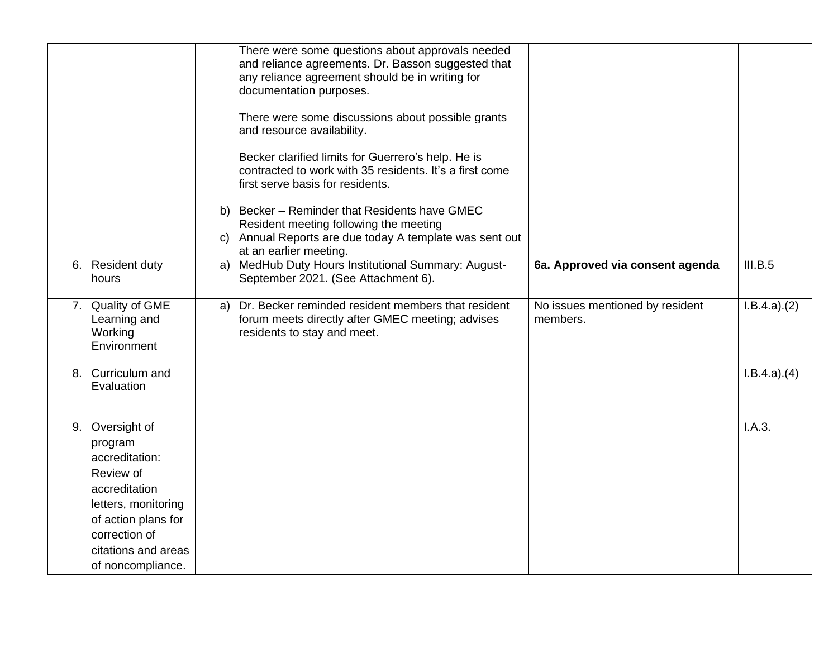|                                                                                                                                                                                       |    | There were some questions about approvals needed<br>and reliance agreements. Dr. Basson suggested that<br>any reliance agreement should be in writing for<br>documentation purposes.<br>There were some discussions about possible grants<br>and resource availability.<br>Becker clarified limits for Guerrero's help. He is<br>contracted to work with 35 residents. It's a first come<br>first serve basis for residents.<br>b) Becker - Reminder that Residents have GMEC<br>Resident meeting following the meeting |                                             |             |
|---------------------------------------------------------------------------------------------------------------------------------------------------------------------------------------|----|-------------------------------------------------------------------------------------------------------------------------------------------------------------------------------------------------------------------------------------------------------------------------------------------------------------------------------------------------------------------------------------------------------------------------------------------------------------------------------------------------------------------------|---------------------------------------------|-------------|
|                                                                                                                                                                                       | C) | Annual Reports are due today A template was sent out<br>at an earlier meeting.                                                                                                                                                                                                                                                                                                                                                                                                                                          |                                             |             |
| 6. Resident duty<br>hours                                                                                                                                                             | a) | MedHub Duty Hours Institutional Summary: August-<br>September 2021. (See Attachment 6).                                                                                                                                                                                                                                                                                                                                                                                                                                 | 6a. Approved via consent agenda             | III.B.5     |
| 7. Quality of GME<br>Learning and<br>Working<br>Environment                                                                                                                           | a) | Dr. Becker reminded resident members that resident<br>forum meets directly after GMEC meeting; advises<br>residents to stay and meet.                                                                                                                                                                                                                                                                                                                                                                                   | No issues mentioned by resident<br>members. | I.B.4.a)(2) |
| 8. Curriculum and<br>Evaluation                                                                                                                                                       |    |                                                                                                                                                                                                                                                                                                                                                                                                                                                                                                                         |                                             | I.B.4.a)(4) |
| 9. Oversight of<br>program<br>accreditation:<br>Review of<br>accreditation<br>letters, monitoring<br>of action plans for<br>correction of<br>citations and areas<br>of noncompliance. |    |                                                                                                                                                                                                                                                                                                                                                                                                                                                                                                                         |                                             | I.A.3.      |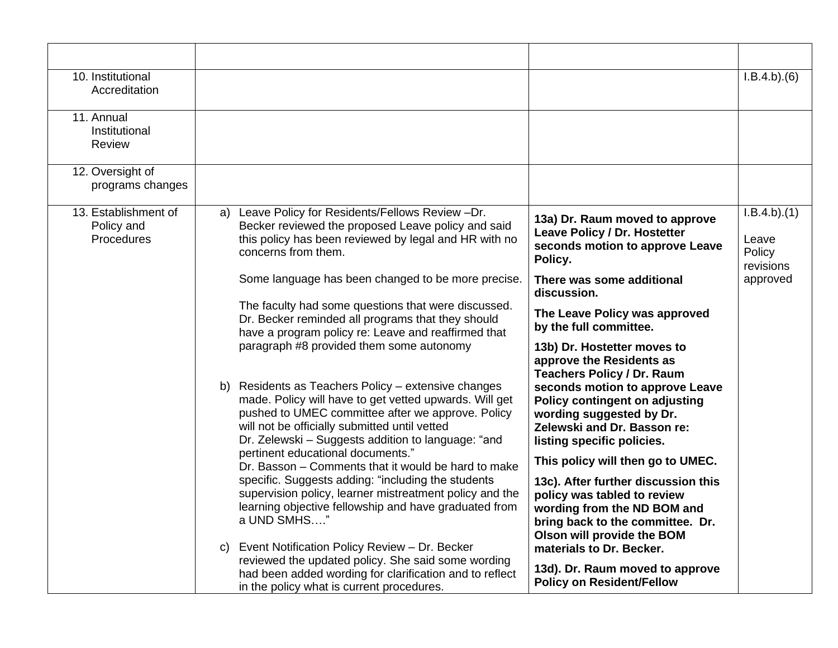| 10. Institutional<br>Accreditation               |                                                                                                                                                                                                                                                                                                                                                                                                                                                                                                                                                                                                                                                                                                                                                                                 |                                                                                                                                                                                                                                                                                                                                                                                                                                                                                                                                       | I.B.4.b)(6)                                 |
|--------------------------------------------------|---------------------------------------------------------------------------------------------------------------------------------------------------------------------------------------------------------------------------------------------------------------------------------------------------------------------------------------------------------------------------------------------------------------------------------------------------------------------------------------------------------------------------------------------------------------------------------------------------------------------------------------------------------------------------------------------------------------------------------------------------------------------------------|---------------------------------------------------------------------------------------------------------------------------------------------------------------------------------------------------------------------------------------------------------------------------------------------------------------------------------------------------------------------------------------------------------------------------------------------------------------------------------------------------------------------------------------|---------------------------------------------|
| 11. Annual<br>Institutional<br><b>Review</b>     |                                                                                                                                                                                                                                                                                                                                                                                                                                                                                                                                                                                                                                                                                                                                                                                 |                                                                                                                                                                                                                                                                                                                                                                                                                                                                                                                                       |                                             |
| 12. Oversight of<br>programs changes             |                                                                                                                                                                                                                                                                                                                                                                                                                                                                                                                                                                                                                                                                                                                                                                                 |                                                                                                                                                                                                                                                                                                                                                                                                                                                                                                                                       |                                             |
| 13. Establishment of<br>Policy and<br>Procedures | a) Leave Policy for Residents/Fellows Review -Dr.<br>Becker reviewed the proposed Leave policy and said<br>this policy has been reviewed by legal and HR with no<br>concerns from them.                                                                                                                                                                                                                                                                                                                                                                                                                                                                                                                                                                                         | 13a) Dr. Raum moved to approve<br>Leave Policy / Dr. Hostetter<br>seconds motion to approve Leave<br>Policy.                                                                                                                                                                                                                                                                                                                                                                                                                          | I.B.4.b)(1)<br>Leave<br>Policy<br>revisions |
|                                                  | Some language has been changed to be more precise.                                                                                                                                                                                                                                                                                                                                                                                                                                                                                                                                                                                                                                                                                                                              | There was some additional<br>discussion.                                                                                                                                                                                                                                                                                                                                                                                                                                                                                              | approved                                    |
|                                                  | The faculty had some questions that were discussed.<br>Dr. Becker reminded all programs that they should<br>have a program policy re: Leave and reaffirmed that                                                                                                                                                                                                                                                                                                                                                                                                                                                                                                                                                                                                                 | The Leave Policy was approved<br>by the full committee.                                                                                                                                                                                                                                                                                                                                                                                                                                                                               |                                             |
|                                                  | paragraph #8 provided them some autonomy<br>b) Residents as Teachers Policy – extensive changes<br>made. Policy will have to get vetted upwards. Will get<br>pushed to UMEC committee after we approve. Policy<br>will not be officially submitted until vetted<br>Dr. Zelewski - Suggests addition to language: "and<br>pertinent educational documents."<br>Dr. Basson - Comments that it would be hard to make<br>specific. Suggests adding: "including the students<br>supervision policy, learner mistreatment policy and the<br>learning objective fellowship and have graduated from<br>a UND SMHS"<br>c) Event Notification Policy Review - Dr. Becker<br>reviewed the updated policy. She said some wording<br>had been added wording for clarification and to reflect | 13b) Dr. Hostetter moves to<br>approve the Residents as<br><b>Teachers Policy / Dr. Raum</b><br>seconds motion to approve Leave<br>Policy contingent on adjusting<br>wording suggested by Dr.<br>Zelewski and Dr. Basson re:<br>listing specific policies.<br>This policy will then go to UMEC.<br>13c). After further discussion this<br>policy was tabled to review<br>wording from the ND BOM and<br>bring back to the committee. Dr.<br>Olson will provide the BOM<br>materials to Dr. Becker.<br>13d). Dr. Raum moved to approve |                                             |
|                                                  | in the policy what is current procedures.                                                                                                                                                                                                                                                                                                                                                                                                                                                                                                                                                                                                                                                                                                                                       | <b>Policy on Resident/Fellow</b>                                                                                                                                                                                                                                                                                                                                                                                                                                                                                                      |                                             |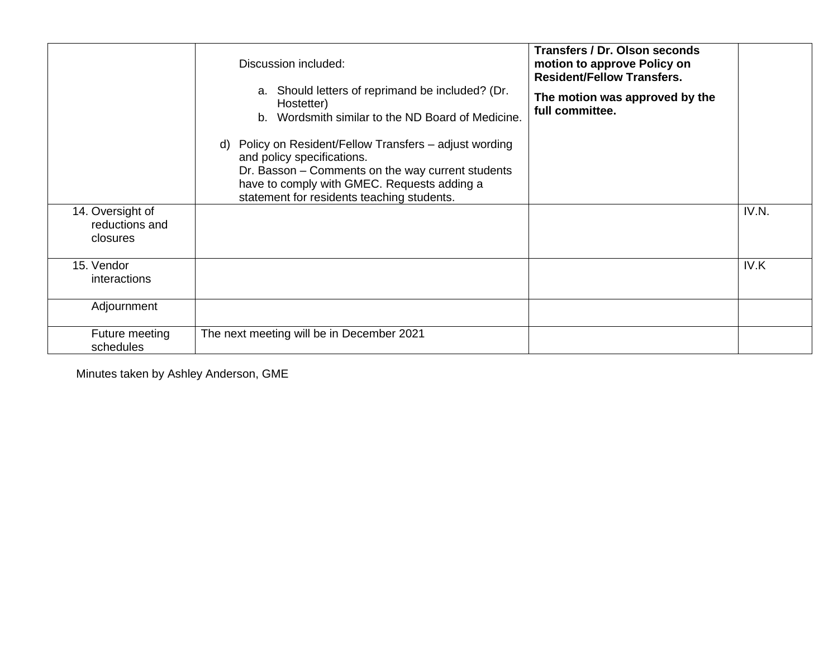| 14. Oversight of<br>reductions and<br>closures<br>15. Vendor<br>interactions | Discussion included:<br>a. Should letters of reprimand be included? (Dr.<br>Hostetter)<br>b. Wordsmith similar to the ND Board of Medicine.<br>d) Policy on Resident/Fellow Transfers - adjust wording<br>and policy specifications.<br>Dr. Basson - Comments on the way current students<br>have to comply with GMEC. Requests adding a<br>statement for residents teaching students. | <b>Transfers / Dr. Olson seconds</b><br>motion to approve Policy on<br><b>Resident/Fellow Transfers.</b><br>The motion was approved by the<br>full committee. | IV.N.<br>IV.K |
|------------------------------------------------------------------------------|----------------------------------------------------------------------------------------------------------------------------------------------------------------------------------------------------------------------------------------------------------------------------------------------------------------------------------------------------------------------------------------|---------------------------------------------------------------------------------------------------------------------------------------------------------------|---------------|
|                                                                              |                                                                                                                                                                                                                                                                                                                                                                                        |                                                                                                                                                               |               |
| Adjournment                                                                  |                                                                                                                                                                                                                                                                                                                                                                                        |                                                                                                                                                               |               |
| Future meeting<br>schedules                                                  | The next meeting will be in December 2021                                                                                                                                                                                                                                                                                                                                              |                                                                                                                                                               |               |

Minutes taken by Ashley Anderson, GME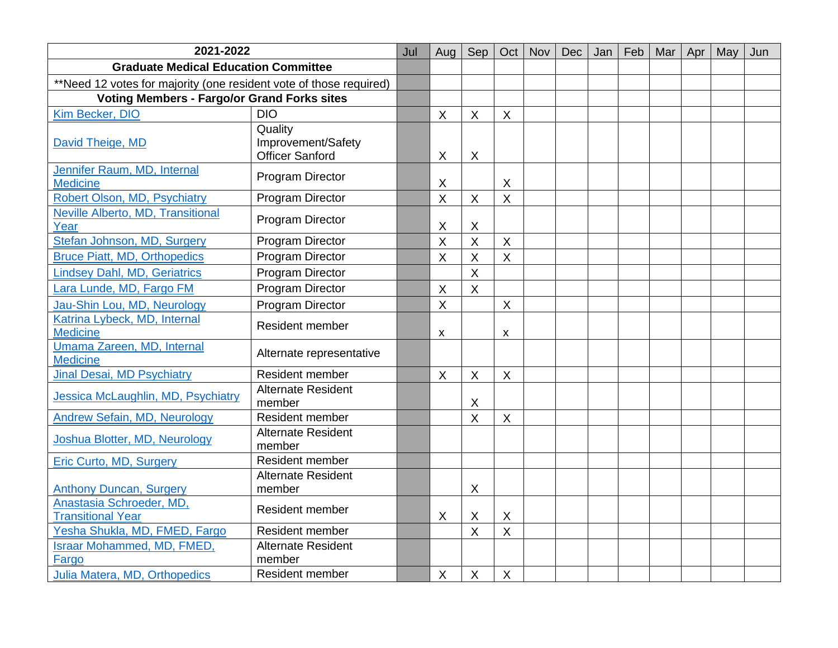| 2021-2022                                                          |                                     | Jul | Aug                       | Sep                     | Oct                       | Nov | <b>Dec</b> | Jan | Feb | Mar | Apr | May | Jun |
|--------------------------------------------------------------------|-------------------------------------|-----|---------------------------|-------------------------|---------------------------|-----|------------|-----|-----|-----|-----|-----|-----|
| <b>Graduate Medical Education Committee</b>                        |                                     |     |                           |                         |                           |     |            |     |     |     |     |     |     |
| **Need 12 votes for majority (one resident vote of those required) |                                     |     |                           |                         |                           |     |            |     |     |     |     |     |     |
| <b>Voting Members - Fargo/or Grand Forks sites</b>                 |                                     |     |                           |                         |                           |     |            |     |     |     |     |     |     |
| Kim Becker, DIO                                                    | <b>DIO</b>                          |     | $\boldsymbol{\mathsf{X}}$ | $\sf X$                 | $\times$                  |     |            |     |     |     |     |     |     |
| David Theige, MD                                                   | Quality<br>Improvement/Safety       |     |                           |                         |                           |     |            |     |     |     |     |     |     |
|                                                                    | <b>Officer Sanford</b>              |     | $\sf X$                   | $\sf X$                 |                           |     |            |     |     |     |     |     |     |
| Jennifer Raum, MD, Internal<br><b>Medicine</b>                     | Program Director                    |     | X                         |                         | $\times$                  |     |            |     |     |     |     |     |     |
| Robert Olson, MD, Psychiatry                                       | <b>Program Director</b>             |     | $\mathsf{X}$              | $\sf X$                 | $\boldsymbol{\mathsf{X}}$ |     |            |     |     |     |     |     |     |
| Neville Alberto, MD, Transitional<br>Year                          | Program Director                    |     | X                         | X                       |                           |     |            |     |     |     |     |     |     |
| Stefan Johnson, MD, Surgery                                        | Program Director                    |     | $\sf X$                   | $\overline{\mathsf{X}}$ | $\boldsymbol{\mathsf{X}}$ |     |            |     |     |     |     |     |     |
| <b>Bruce Piatt, MD, Orthopedics</b>                                | Program Director                    |     | $\boldsymbol{\mathsf{X}}$ | X                       | $\boldsymbol{\mathsf{X}}$ |     |            |     |     |     |     |     |     |
| <b>Lindsey Dahl, MD, Geriatrics</b>                                | <b>Program Director</b>             |     |                           | X                       |                           |     |            |     |     |     |     |     |     |
| Lara Lunde, MD, Fargo FM                                           | Program Director                    |     | X                         | $\sf X$                 |                           |     |            |     |     |     |     |     |     |
| Jau-Shin Lou, MD, Neurology                                        | <b>Program Director</b>             |     | $\sf X$                   |                         | $\boldsymbol{\mathsf{X}}$ |     |            |     |     |     |     |     |     |
| Katrina Lybeck, MD, Internal<br><b>Medicine</b>                    | <b>Resident member</b>              |     | $\pmb{\mathsf{X}}$        |                         | $\boldsymbol{\mathsf{x}}$ |     |            |     |     |     |     |     |     |
| Umama Zareen, MD, Internal<br><b>Medicine</b>                      | Alternate representative            |     |                           |                         |                           |     |            |     |     |     |     |     |     |
| Jinal Desai, MD Psychiatry                                         | Resident member                     |     | X                         | X                       | $\boldsymbol{\mathsf{X}}$ |     |            |     |     |     |     |     |     |
| Jessica McLaughlin, MD, Psychiatry                                 | <b>Alternate Resident</b><br>member |     |                           | X                       |                           |     |            |     |     |     |     |     |     |
| <b>Andrew Sefain, MD, Neurology</b>                                | Resident member                     |     |                           | $\overline{\mathsf{X}}$ | $\boldsymbol{\mathsf{X}}$ |     |            |     |     |     |     |     |     |
| Joshua Blotter, MD, Neurology                                      | <b>Alternate Resident</b><br>member |     |                           |                         |                           |     |            |     |     |     |     |     |     |
| <b>Eric Curto, MD, Surgery</b>                                     | Resident member                     |     |                           |                         |                           |     |            |     |     |     |     |     |     |
| <b>Anthony Duncan, Surgery</b>                                     | <b>Alternate Resident</b><br>member |     |                           | X                       |                           |     |            |     |     |     |     |     |     |
| Anastasia Schroeder, MD,<br><b>Transitional Year</b>               | <b>Resident member</b>              |     | X                         | X                       | $\boldsymbol{\mathsf{X}}$ |     |            |     |     |     |     |     |     |
| Yesha Shukla, MD, FMED, Fargo                                      | Resident member                     |     |                           | X                       | $\sf X$                   |     |            |     |     |     |     |     |     |
| <b>Israar Mohammed, MD, FMED,</b><br>Fargo                         | <b>Alternate Resident</b><br>member |     |                           |                         |                           |     |            |     |     |     |     |     |     |
| Julia Matera, MD, Orthopedics                                      | Resident member                     |     | X                         | X                       | $\times$                  |     |            |     |     |     |     |     |     |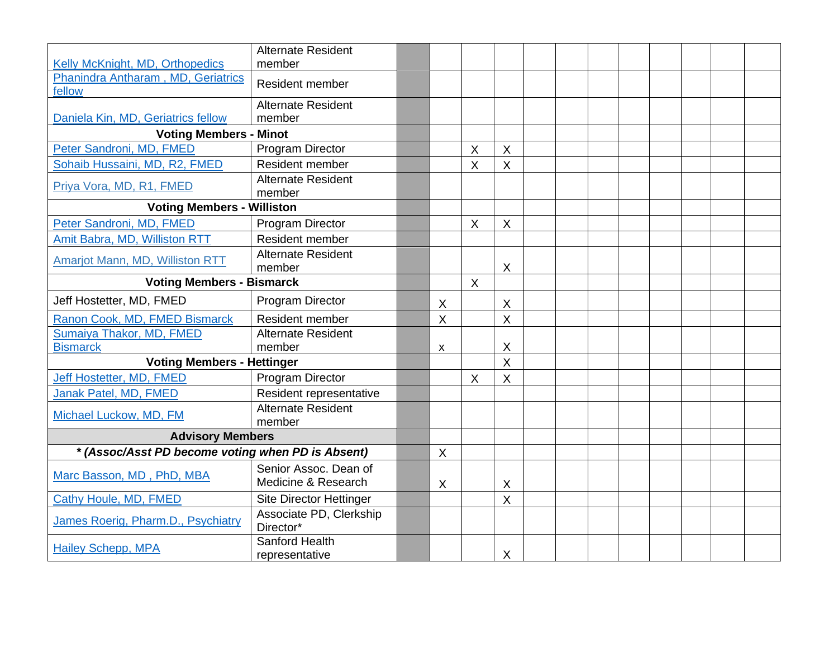|                                                                       | <b>Alternate Resident</b><br>member          |              |          |                           |  |  |  |  |
|-----------------------------------------------------------------------|----------------------------------------------|--------------|----------|---------------------------|--|--|--|--|
| Kelly McKnight, MD, Orthopedics<br>Phanindra Antharam, MD, Geriatrics |                                              |              |          |                           |  |  |  |  |
| fellow                                                                | <b>Resident member</b>                       |              |          |                           |  |  |  |  |
|                                                                       | <b>Alternate Resident</b>                    |              |          |                           |  |  |  |  |
| Daniela Kin, MD, Geriatrics fellow                                    | member                                       |              |          |                           |  |  |  |  |
| <b>Voting Members - Minot</b>                                         |                                              |              |          |                           |  |  |  |  |
| Peter Sandroni, MD, FMED                                              | Program Director                             |              | X        | $\boldsymbol{\mathsf{X}}$ |  |  |  |  |
| Sohaib Hussaini, MD, R2, FMED                                         | Resident member                              |              | X        | $\boldsymbol{\mathsf{X}}$ |  |  |  |  |
| Priya Vora, MD, R1, FMED                                              | <b>Alternate Resident</b><br>member          |              |          |                           |  |  |  |  |
| <b>Voting Members - Williston</b>                                     |                                              |              |          |                           |  |  |  |  |
| Peter Sandroni, MD, FMED                                              | <b>Program Director</b>                      |              | X        | $\boldsymbol{\mathsf{X}}$ |  |  |  |  |
| Amit Babra, MD, Williston RTT                                         | Resident member                              |              |          |                           |  |  |  |  |
| Amarjot Mann, MD, Williston RTT                                       | <b>Alternate Resident</b><br>member          |              |          | $\times$                  |  |  |  |  |
| <b>Voting Members - Bismarck</b>                                      |                                              |              | $\times$ |                           |  |  |  |  |
| Jeff Hostetter, MD, FMED                                              | <b>Program Director</b>                      | X            |          | $\times$                  |  |  |  |  |
| Ranon Cook, MD, FMED Bismarck                                         | Resident member                              | X            |          | $\overline{\mathsf{X}}$   |  |  |  |  |
| <b>Sumaiya Thakor, MD, FMED</b>                                       | <b>Alternate Resident</b>                    |              |          |                           |  |  |  |  |
| <b>Bismarck</b>                                                       | member                                       | X            |          | X                         |  |  |  |  |
| <b>Voting Members - Hettinger</b>                                     |                                              |              |          | $\overline{\mathsf{X}}$   |  |  |  |  |
| Jeff Hostetter, MD, FMED                                              | <b>Program Director</b>                      |              | X        | $\sf X$                   |  |  |  |  |
| Janak Patel, MD, FMED                                                 | Resident representative                      |              |          |                           |  |  |  |  |
| Michael Luckow, MD, FM                                                | <b>Alternate Resident</b><br>member          |              |          |                           |  |  |  |  |
| <b>Advisory Members</b>                                               |                                              |              |          |                           |  |  |  |  |
| * (Assoc/Asst PD become voting when PD is Absent)                     |                                              | $\mathsf{X}$ |          |                           |  |  |  |  |
| Marc Basson, MD, PhD, MBA                                             | Senior Assoc. Dean of<br>Medicine & Research | X            |          | $\times$                  |  |  |  |  |
| Cathy Houle, MD, FMED                                                 | Site Director Hettinger                      |              |          | $\sf X$                   |  |  |  |  |
| James Roerig, Pharm.D., Psychiatry                                    | Associate PD, Clerkship<br>Director*         |              |          |                           |  |  |  |  |
| <b>Hailey Schepp, MPA</b>                                             | Sanford Health<br>representative             |              |          | $\times$                  |  |  |  |  |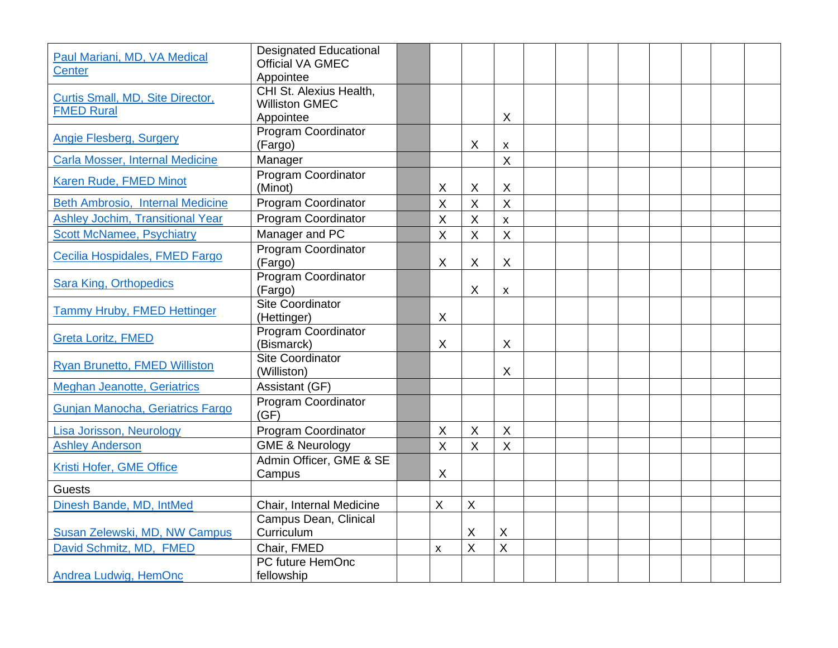| Paul Mariani, MD, VA Medical<br><b>Center</b>         | <b>Designated Educational</b><br><b>Official VA GMEC</b><br>Appointee |                |              |                    |  |  |  |  |
|-------------------------------------------------------|-----------------------------------------------------------------------|----------------|--------------|--------------------|--|--|--|--|
| Curtis Small, MD, Site Director,<br><b>FMED Rural</b> | CHI St. Alexius Health,<br><b>Williston GMEC</b><br>Appointee         |                |              | X                  |  |  |  |  |
| Angie Flesberg, Surgery                               | Program Coordinator<br>(Fargo)                                        |                | $\times$     | $\pmb{\mathsf{X}}$ |  |  |  |  |
| Carla Mosser, Internal Medicine                       | Manager                                                               |                |              | $\sf X$            |  |  |  |  |
| Karen Rude, FMED Minot                                | <b>Program Coordinator</b><br>(Minot)                                 | X              | X            | X                  |  |  |  |  |
| Beth Ambrosio, Internal Medicine                      | Program Coordinator                                                   | $\sf X$        | $\sf X$      | $\sf X$            |  |  |  |  |
| <b>Ashley Jochim, Transitional Year</b>               | Program Coordinator                                                   | X              | $\sf X$      | $\pmb{\times}$     |  |  |  |  |
| <b>Scott McNamee, Psychiatry</b>                      | Manager and PC                                                        | $\sf X$        | $\sf X$      | $\sf X$            |  |  |  |  |
| Cecilia Hospidales, FMED Fargo                        | Program Coordinator<br>(Fargo)                                        | X              | $\times$     | X                  |  |  |  |  |
| Sara King, Orthopedics                                | Program Coordinator<br>(Fargo)                                        |                | $\times$     | X                  |  |  |  |  |
| Tammy Hruby, FMED Hettinger                           | <b>Site Coordinator</b><br>(Hettinger)                                | X              |              |                    |  |  |  |  |
| <b>Greta Loritz, FMED</b>                             | Program Coordinator<br>(Bismarck)                                     | X              |              | X                  |  |  |  |  |
| Ryan Brunetto, FMED Williston                         | <b>Site Coordinator</b><br>(Williston)                                |                |              | X                  |  |  |  |  |
| <b>Meghan Jeanotte, Geriatrics</b>                    | Assistant (GF)                                                        |                |              |                    |  |  |  |  |
| Gunjan Manocha, Geriatrics Fargo                      | <b>Program Coordinator</b><br>(GF)                                    |                |              |                    |  |  |  |  |
| Lisa Jorisson, Neurology                              | Program Coordinator                                                   | $\sf X$        | $\sf X$      | $\sf X$            |  |  |  |  |
| <b>Ashley Anderson</b>                                | <b>GME &amp; Neurology</b>                                            | $\overline{X}$ | $\sf X$      | $\sf X$            |  |  |  |  |
| Kristi Hofer, GME Office                              | Admin Officer, GME & SE<br>Campus                                     | $\sf X$        |              |                    |  |  |  |  |
| <b>Guests</b>                                         |                                                                       |                |              |                    |  |  |  |  |
| Dinesh Bande, MD, IntMed                              | Chair, Internal Medicine                                              | X              | $\mathsf{X}$ |                    |  |  |  |  |
| Susan Zelewski, MD, NW Campus                         | Campus Dean, Clinical<br>Curriculum                                   |                | Χ            | $\mathsf X$        |  |  |  |  |
| David Schmitz, MD, FMED                               | Chair, FMED                                                           | X              | X            | $\sf X$            |  |  |  |  |
| Andrea Ludwig, HemOnc                                 | PC future HemOnc<br>fellowship                                        |                |              |                    |  |  |  |  |